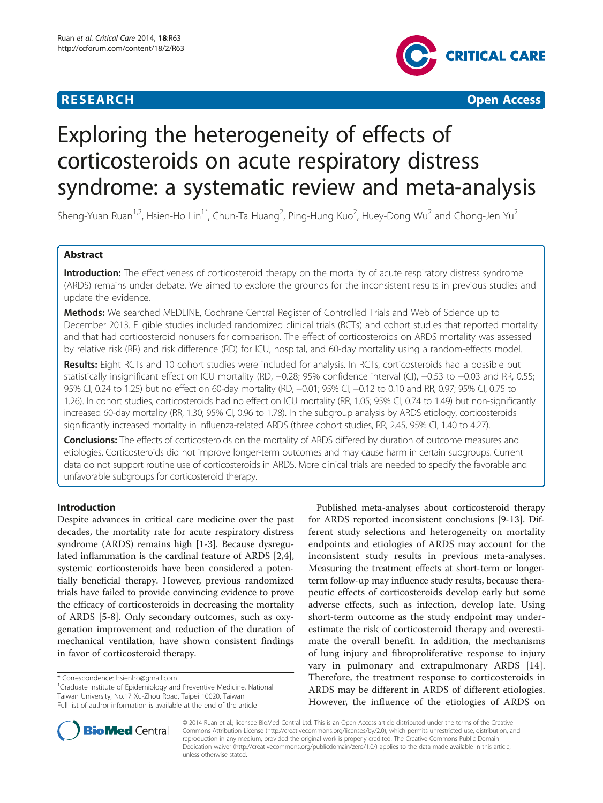

**RESEARCH CHEAR CHEAR CHEAR CHEAR CHEAR CHEAR CHEAR CHEAR CHEAR CHEAR CHEAR CHEAR CHEAR CHEAR CHEAR CHEAR CHEAR** 

# Exploring the heterogeneity of effects of corticosteroids on acute respiratory distress syndrome: a systematic review and meta-analysis

Sheng-Yuan Ruan<sup>1,2</sup>, Hsien-Ho Lin<sup>1\*</sup>, Chun-Ta Huang<sup>2</sup>, Ping-Hung Kuo<sup>2</sup>, Huey-Dong Wu<sup>2</sup> and Chong-Jen Yu<sup>2</sup>

# Abstract

Introduction: The effectiveness of corticosteroid therapy on the mortality of acute respiratory distress syndrome (ARDS) remains under debate. We aimed to explore the grounds for the inconsistent results in previous studies and update the evidence.

Methods: We searched MEDLINE, Cochrane Central Register of Controlled Trials and Web of Science up to December 2013. Eligible studies included randomized clinical trials (RCTs) and cohort studies that reported mortality and that had corticosteroid nonusers for comparison. The effect of corticosteroids on ARDS mortality was assessed by relative risk (RR) and risk difference (RD) for ICU, hospital, and 60-day mortality using a random-effects model.

Results: Eight RCTs and 10 cohort studies were included for analysis. In RCTs, corticosteroids had a possible but statistically insignificant effect on ICU mortality (RD, −0.28; 95% confidence interval (CI), −0.53 to −0.03 and RR, 0.55; 95% CI, 0.24 to 1.25) but no effect on 60-day mortality (RD, −0.01; 95% CI, −0.12 to 0.10 and RR, 0.97; 95% CI, 0.75 to 1.26). In cohort studies, corticosteroids had no effect on ICU mortality (RR, 1.05; 95% CI, 0.74 to 1.49) but non-significantly increased 60-day mortality (RR, 1.30; 95% CI, 0.96 to 1.78). In the subgroup analysis by ARDS etiology, corticosteroids significantly increased mortality in influenza-related ARDS (three cohort studies, RR, 2.45, 95% CI, 1.40 to 4.27).

Conclusions: The effects of corticosteroids on the mortality of ARDS differed by duration of outcome measures and etiologies. Corticosteroids did not improve longer-term outcomes and may cause harm in certain subgroups. Current data do not support routine use of corticosteroids in ARDS. More clinical trials are needed to specify the favorable and unfavorable subgroups for corticosteroid therapy.

# Introduction

Despite advances in critical care medicine over the past decades, the mortality rate for acute respiratory distress syndrome (ARDS) remains high [[1-3](#page-7-0)]. Because dysregulated inflammation is the cardinal feature of ARDS [\[2,4](#page-7-0)], systemic corticosteroids have been considered a potentially beneficial therapy. However, previous randomized trials have failed to provide convincing evidence to prove the efficacy of corticosteroids in decreasing the mortality of ARDS [[5-8](#page-7-0)]. Only secondary outcomes, such as oxygenation improvement and reduction of the duration of mechanical ventilation, have shown consistent findings in favor of corticosteroid therapy.

Published meta-analyses about corticosteroid therapy for ARDS reported inconsistent conclusions [\[9](#page-7-0)-[13](#page-7-0)]. Different study selections and heterogeneity on mortality endpoints and etiologies of ARDS may account for the inconsistent study results in previous meta-analyses. Measuring the treatment effects at short-term or longerterm follow-up may influence study results, because therapeutic effects of corticosteroids develop early but some adverse effects, such as infection, develop late. Using short-term outcome as the study endpoint may underestimate the risk of corticosteroid therapy and overestimate the overall benefit. In addition, the mechanisms of lung injury and fibroproliferative response to injury vary in pulmonary and extrapulmonary ARDS [\[14](#page-7-0)]. Therefore, the treatment response to corticosteroids in ARDS may be different in ARDS of different etiologies. However, the influence of the etiologies of ARDS on



© 2014 Ruan et al.; licensee BioMed Central Ltd. This is an Open Access article distributed under the terms of the Creative Commons Attribution License [\(http://creativecommons.org/licenses/by/2.0\)](http://creativecommons.org/licenses/by/2.0), which permits unrestricted use, distribution, and reproduction in any medium, provided the original work is properly credited. The Creative Commons Public Domain Dedication waiver [\(http://creativecommons.org/publicdomain/zero/1.0/](http://creativecommons.org/publicdomain/zero/1.0/)) applies to the data made available in this article, unless otherwise stated.

<sup>\*</sup> Correspondence: [hsienho@gmail.com](mailto:hsienho@gmail.com) <sup>1</sup>

<sup>&</sup>lt;sup>1</sup>Graduate Institute of Epidemiology and Preventive Medicine, National Taiwan University, No.17 Xu-Zhou Road, Taipei 10020, Taiwan Full list of author information is available at the end of the article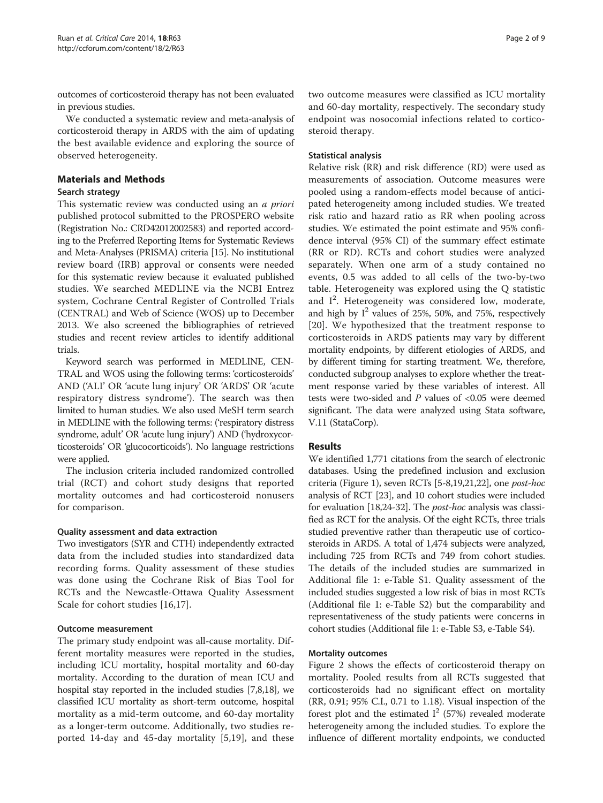outcomes of corticosteroid therapy has not been evaluated in previous studies.

We conducted a systematic review and meta-analysis of corticosteroid therapy in ARDS with the aim of updating the best available evidence and exploring the source of observed heterogeneity.

## Materials and Methods

#### Search strategy

This systematic review was conducted using an a priori published protocol submitted to the PROSPERO website (Registration No.: CRD42012002583) and reported according to the Preferred Reporting Items for Systematic Reviews and Meta-Analyses (PRISMA) criteria [\[15\]](#page-7-0). No institutional review board (IRB) approval or consents were needed for this systematic review because it evaluated published studies. We searched MEDLINE via the NCBI Entrez system, Cochrane Central Register of Controlled Trials (CENTRAL) and Web of Science (WOS) up to December 2013. We also screened the bibliographies of retrieved studies and recent review articles to identify additional trials.

Keyword search was performed in MEDLINE, CEN-TRAL and WOS using the following terms: 'corticosteroids' AND ('ALI' OR 'acute lung injury' OR 'ARDS' OR 'acute respiratory distress syndrome'). The search was then limited to human studies. We also used MeSH term search in MEDLINE with the following terms: ('respiratory distress syndrome, adult' OR 'acute lung injury') AND ('hydroxycorticosteroids' OR 'glucocorticoids'). No language restrictions were applied.

The inclusion criteria included randomized controlled trial (RCT) and cohort study designs that reported mortality outcomes and had corticosteroid nonusers for comparison.

#### Quality assessment and data extraction

Two investigators (SYR and CTH) independently extracted data from the included studies into standardized data recording forms. Quality assessment of these studies was done using the Cochrane Risk of Bias Tool for RCTs and the Newcastle-Ottawa Quality Assessment Scale for cohort studies [\[16](#page-7-0),[17\]](#page-7-0).

#### Outcome measurement

The primary study endpoint was all-cause mortality. Different mortality measures were reported in the studies, including ICU mortality, hospital mortality and 60-day mortality. According to the duration of mean ICU and hospital stay reported in the included studies [\[7,8,18\]](#page-7-0), we classified ICU mortality as short-term outcome, hospital mortality as a mid-term outcome, and 60-day mortality as a longer-term outcome. Additionally, two studies reported 14-day and 45-day mortality [[5,19\]](#page-7-0), and these

two outcome measures were classified as ICU mortality and 60-day mortality, respectively. The secondary study endpoint was nosocomial infections related to corticosteroid therapy.

## Statistical analysis

Relative risk (RR) and risk difference (RD) were used as measurements of association. Outcome measures were pooled using a random-effects model because of anticipated heterogeneity among included studies. We treated risk ratio and hazard ratio as RR when pooling across studies. We estimated the point estimate and 95% confidence interval (95% CI) of the summary effect estimate (RR or RD). RCTs and cohort studies were analyzed separately. When one arm of a study contained no events, 0.5 was added to all cells of the two-by-two table. Heterogeneity was explored using the Q statistic and I<sup>2</sup>. Heterogeneity was considered low, moderate, and high by  $I^2$  values of 25%, 50%, and 75%, respectively [[20](#page-7-0)]. We hypothesized that the treatment response to corticosteroids in ARDS patients may vary by different mortality endpoints, by different etiologies of ARDS, and by different timing for starting treatment. We, therefore, conducted subgroup analyses to explore whether the treatment response varied by these variables of interest. All tests were two-sided and  $P$  values of <0.05 were deemed significant. The data were analyzed using Stata software, V.11 (StataCorp).

# **Results**

We identified 1,771 citations from the search of electronic databases. Using the predefined inclusion and exclusion criteria (Figure [1](#page-2-0)), seven RCTs [\[5-8,19,21,22](#page-7-0)], one post-hoc analysis of RCT [\[23\]](#page-7-0), and 10 cohort studies were included for evaluation [[18,24](#page-7-0)-[32](#page-8-0)]. The post-hoc analysis was classified as RCT for the analysis. Of the eight RCTs, three trials studied preventive rather than therapeutic use of corticosteroids in ARDS. A total of 1,474 subjects were analyzed, including 725 from RCTs and 749 from cohort studies. The details of the included studies are summarized in Additional file [1](#page-7-0): e-Table S1. Quality assessment of the included studies suggested a low risk of bias in most RCTs (Additional file [1:](#page-7-0) e-Table S2) but the comparability and representativeness of the study patients were concerns in cohort studies (Additional file [1](#page-7-0): e-Table S3, e-Table S4).

#### Mortality outcomes

Figure [2](#page-3-0) shows the effects of corticosteroid therapy on mortality. Pooled results from all RCTs suggested that corticosteroids had no significant effect on mortality (RR, 0.91; 95% C.I., 0.71 to 1.18). Visual inspection of the forest plot and the estimated  $I^2$  (57%) revealed moderate heterogeneity among the included studies. To explore the influence of different mortality endpoints, we conducted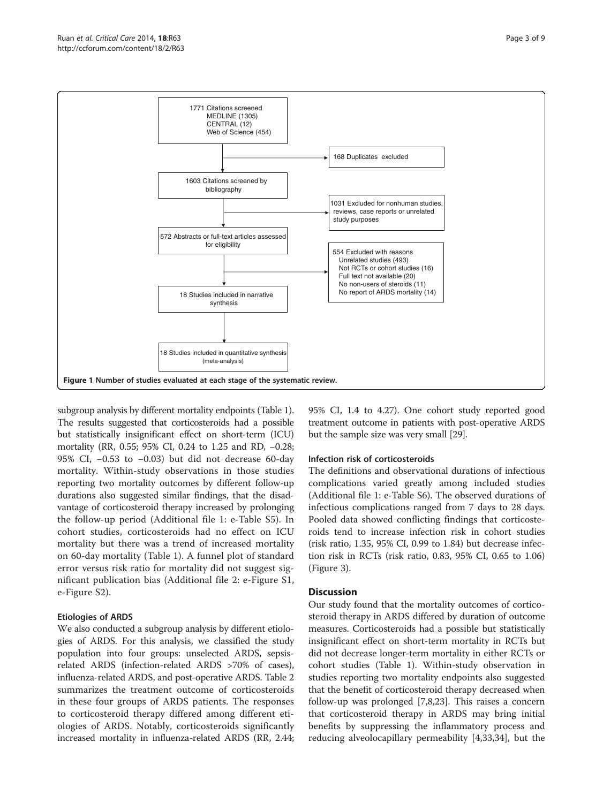<span id="page-2-0"></span>

subgroup analysis by different mortality endpoints (Table [1](#page-3-0)). The results suggested that corticosteroids had a possible but statistically insignificant effect on short-term (ICU) mortality (RR, 0.55; 95% CI, 0.24 to 1.25 and RD, −0.28; 95% CI, −0.53 to −0.03) but did not decrease 60-day mortality. Within-study observations in those studies reporting two mortality outcomes by different follow-up durations also suggested similar findings, that the disadvantage of corticosteroid therapy increased by prolonging the follow-up period (Additional file [1:](#page-7-0) e-Table S5). In cohort studies, corticosteroids had no effect on ICU mortality but there was a trend of increased mortality on 60-day mortality (Table [1](#page-3-0)). A funnel plot of standard error versus risk ratio for mortality did not suggest significant publication bias (Additional file [2](#page-7-0): e-Figure S1, e-Figure S2).

#### Etiologies of ARDS

We also conducted a subgroup analysis by different etiologies of ARDS. For this analysis, we classified the study population into four groups: unselected ARDS, sepsisrelated ARDS (infection-related ARDS >70% of cases), influenza-related ARDS, and post-operative ARDS. Table [2](#page-4-0) summarizes the treatment outcome of corticosteroids in these four groups of ARDS patients. The responses to corticosteroid therapy differed among different etiologies of ARDS. Notably, corticosteroids significantly increased mortality in influenza-related ARDS (RR, 2.44; 95% CI, 1.4 to 4.27). One cohort study reported good treatment outcome in patients with post-operative ARDS but the sample size was very small [\[29\]](#page-8-0).

#### Infection risk of corticosteroids

The definitions and observational durations of infectious complications varied greatly among included studies (Additional file [1](#page-7-0): e-Table S6). The observed durations of infectious complications ranged from 7 days to 28 days. Pooled data showed conflicting findings that corticosteroids tend to increase infection risk in cohort studies (risk ratio, 1.35, 95% CI, 0.99 to 1.84) but decrease infection risk in RCTs (risk ratio, 0.83, 95% CI, 0.65 to 1.06) (Figure [3\)](#page-4-0).

# **Discussion**

Our study found that the mortality outcomes of corticosteroid therapy in ARDS differed by duration of outcome measures. Corticosteroids had a possible but statistically insignificant effect on short-term mortality in RCTs but did not decrease longer-term mortality in either RCTs or cohort studies (Table [1\)](#page-3-0). Within-study observation in studies reporting two mortality endpoints also suggested that the benefit of corticosteroid therapy decreased when follow-up was prolonged [[7](#page-7-0),[8](#page-7-0),[23](#page-7-0)]. This raises a concern that corticosteroid therapy in ARDS may bring initial benefits by suppressing the inflammatory process and reducing alveolocapillary permeability [[4](#page-7-0),[33](#page-8-0),[34](#page-8-0)], but the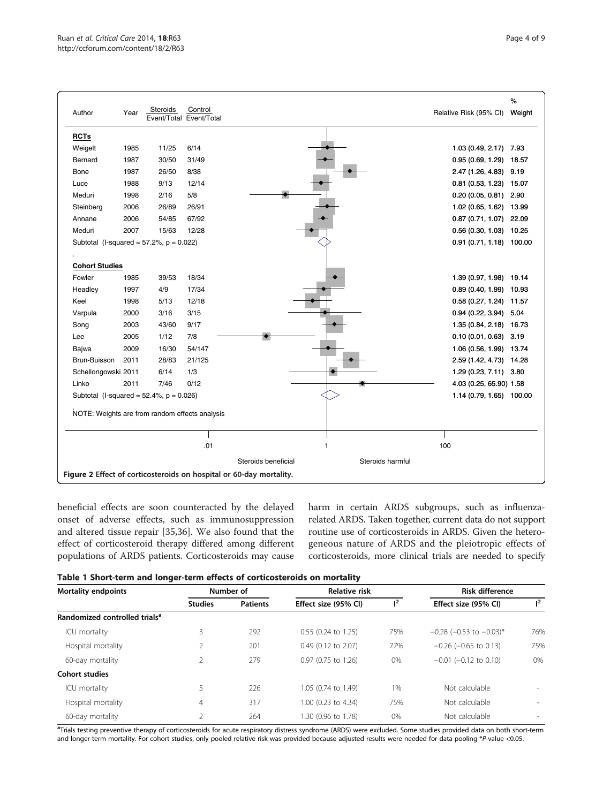Year

Steroids Control Event/Total Event/Total

<span id="page-3-0"></span>Author

|                               | % |
|-------------------------------|---|
| Relative Risk (95% CI) Weight |   |
| 1.03 (0.49, 2.17) 7.93        |   |
| 0.95 (0.69, 1.29) 18.57       |   |
| 0.47/102.4901.010             |   |

| <b>RCTs</b><br>Weigelt<br>Bernard              | 1985 |       |        |                                         |       |
|------------------------------------------------|------|-------|--------|-----------------------------------------|-------|
|                                                |      | 11/25 | 6/14   | 1.03(0.49, 2.17)                        | 7.93  |
|                                                | 1987 | 30/50 | 31/49  | 0.95(0.69, 1.29)                        | 18.57 |
| Bone                                           | 1987 | 26/50 | 8/38   | 2.47 (1.26, 4.83) 9.19                  |       |
| Luce                                           | 1988 | 9/13  | 12/14  | 0.81(0.53, 1.23)                        | 15.07 |
| Meduri                                         | 1998 | 2/16  | 5/8    | $0.20(0.05, 0.81)$ 2.90                 |       |
| Steinberg                                      | 2006 | 26/89 | 26/91  | 1.02 (0.65, 1.62) 13.99                 |       |
| Annane                                         | 2006 | 54/85 | 67/92  | 0.87 (0.71, 1.07) 22.09                 |       |
| Meduri                                         | 2007 | 15/63 | 12/28  | $0.56(0.30, 1.03)$ 10.25                |       |
| Subtotal (I-squared = $57.2\%$ , $p = 0.022$ ) |      |       |        | 0.91 (0.71, 1.18) 100.00                |       |
|                                                |      |       |        |                                         |       |
| <b>Cohort Studies</b>                          |      |       |        |                                         |       |
| Fowler                                         | 1985 | 39/53 | 18/34  | 1.39 (0.97, 1.98) 19.14                 |       |
| Headley                                        | 1997 | 4/9   | 17/34  | 0.89(0.40, 1.99)                        | 10.93 |
| Keel                                           | 1998 | 5/13  | 12/18  | 0.58(0.27, 1.24)                        | 11.57 |
| Varpula                                        | 2000 | 3/16  | 3/15   | 0.94(0.22, 3.94)                        | 5.04  |
| Song                                           | 2003 | 43/60 | 9/17   | 1.35 (0.84, 2.18)                       | 16.73 |
| Lee                                            | 2005 | 1/12  | 7/8    | $0.10(0.01, 0.63)$ 3.19                 |       |
| Bajwa                                          | 2009 | 16/30 | 54/147 | 1.06(0.56, 1.99)                        | 13.74 |
| Brun-Buisson                                   | 2011 | 28/83 | 21/125 | 2.59 (1.42, 4.73) 14.28                 |       |
| Schellongowski 2011                            |      | 6/14  | 1/3    | 1.29 (0.23, 7.11) 3.80                  |       |
| Linko                                          | 2011 | 7/46  | 0/12   | 4.03 (0.25, 65.90) 1.58                 |       |
| Subtotal (I-squared = $52.4\%$ , $p = 0.026$ ) |      |       |        | 1.14 (0.79, 1.65) 100.00                |       |
| NOTE: Weights are from random effects analysis |      |       |        |                                         |       |
|                                                |      |       |        |                                         |       |
|                                                |      |       | .01    | 100<br>1                                |       |
|                                                |      |       |        | Steroids beneficial<br>Steroids harmful |       |

beneficial effects are soon counteracted by the delayed onset of adverse effects, such as immunosuppression and altered tissue repair [\[35,36](#page-8-0)]. We also found that the effect of corticosteroid therapy differed among different populations of ARDS patients. Corticosteroids may cause

harm in certain ARDS subgroups, such as influenzarelated ARDS. Taken together, current data do not support routine use of corticosteroids in ARDS. Given the heterogeneous nature of ARDS and the pleiotropic effects of corticosteroids, more clinical trials are needed to specify

|  | Table 1 Short-term and longer-term effects of corticosteroids on mortality |  |  |  |  |
|--|----------------------------------------------------------------------------|--|--|--|--|
|--|----------------------------------------------------------------------------|--|--|--|--|

| <b>Mortality endpoints</b>                | Number of      |                 | <b>Relative risk</b>  |       | <b>Risk difference</b>                    |        |
|-------------------------------------------|----------------|-----------------|-----------------------|-------|-------------------------------------------|--------|
|                                           | <b>Studies</b> | <b>Patients</b> | Effect size (95% CI)  | $1^2$ | Effect size (95% CI)                      | $1^2$  |
| Randomized controlled trials <sup>a</sup> |                |                 |                       |       |                                           |        |
| ICU mortality                             | 3              | 292             | $0.55$ (0.24 to 1.25) | 75%   | $-0.28$ ( $-0.53$ to $-0.03$ <sup>*</sup> | 76%    |
| Hospital mortality                        | 2              | 201             | 0.49 (0.12 to 2.07)   | 77%   | $-0.26$ ( $-0.65$ to 0.13)                | 75%    |
| 60-day mortality                          | 2              | 279             | 0.97 (0.75 to 1.26)   | 0%    | $-0.01$ $(-0.12$ to 0.10)                 | 0%     |
| <b>Cohort studies</b>                     |                |                 |                       |       |                                           |        |
| ICU mortality                             | 5              | 226             | 1.05 (0.74 to 1.49)   | 1%    | Not calculable                            | $\sim$ |
| Hospital mortality                        | 4              | 317             | 1.00 (0.23 to 4.34)   | 75%   | Not calculable                            |        |
| 60-day mortality                          | C.             | 264             | 1.30 (0.96 to 1.78)   | 0%    | Not calculable                            | $\sim$ |
|                                           |                |                 |                       |       |                                           |        |

<sup>a</sup>Trials testing preventive therapy of corticosteroids for acute respiratory distress syndrome (ARDS) were excluded. Some studies provided data on both short-term and longer-term mortality. For cohort studies, only pooled relative risk was provided because adjusted results were needed for data pooling \*P-value <0.05.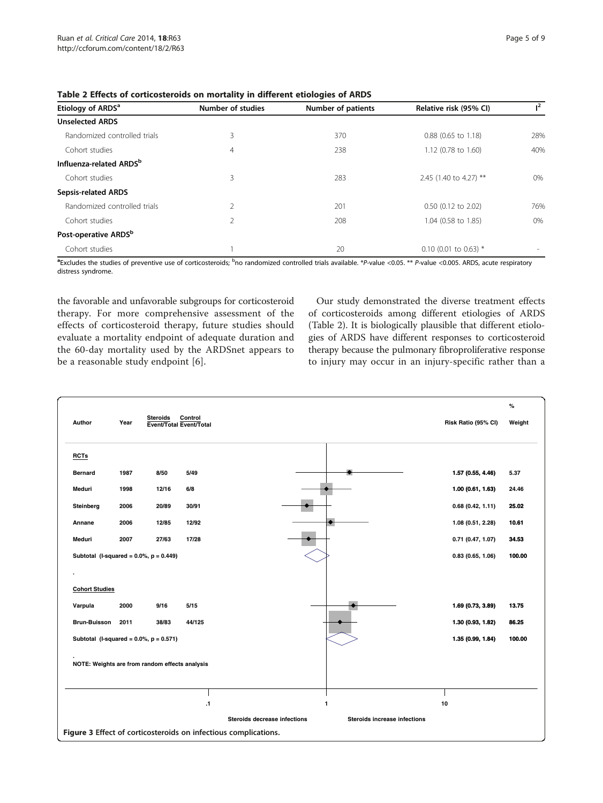| Etiology of ARDS <sup>a</sup>       | <b>Number of studies</b> | <b>Number of patients</b> | Relative risk (95% CI)  | $1^2$ |
|-------------------------------------|--------------------------|---------------------------|-------------------------|-------|
| <b>Unselected ARDS</b>              |                          |                           |                         |       |
| Randomized controlled trials        | 3                        | 370                       | 0.88 (0.65 to 1.18)     | 28%   |
| Cohort studies                      | 4                        | 238                       | 1.12 (0.78 to 1.60)     | 40%   |
| Influenza-related ARDS <sup>b</sup> |                          |                           |                         |       |
| Cohort studies                      | 3                        | 283                       | 2.45 (1.40 to 4.27) **  | 0%    |
| <b>Sepsis-related ARDS</b>          |                          |                           |                         |       |
| Randomized controlled trials        |                          | 201                       | 0.50 (0.12 to 2.02)     | 76%   |
| Cohort studies                      |                          | 208                       | 1.04 (0.58 to 1.85)     | 0%    |
| Post-operative ARDS <sup>b</sup>    |                          |                           |                         |       |
| Cohort studies                      |                          | 20                        | 0.10 (0.01 to 0.63) $*$ |       |

<span id="page-4-0"></span>Table 2 Effects of corticosteroids on mortality in different etiologies of ARDS

<sup>a</sup>Excludes the studies of preventive use of corticosteroids; <sup>b</sup>no randomized controlled trials available. \*P-value <0.05. \*\* P-value <0.005. ARDS, acute respiratory distress syndrome.

the favorable and unfavorable subgroups for corticosteroid therapy. For more comprehensive assessment of the effects of corticosteroid therapy, future studies should evaluate a mortality endpoint of adequate duration and the 60-day mortality used by the ARDSnet appears to be a reasonable study endpoint [[6\]](#page-7-0).

Our study demonstrated the diverse treatment effects of corticosteroids among different etiologies of ARDS (Table 2). It is biologically plausible that different etiologies of ARDS have different responses to corticosteroid therapy because the pulmonary fibroproliferative response to injury may occur in an injury-specific rather than a

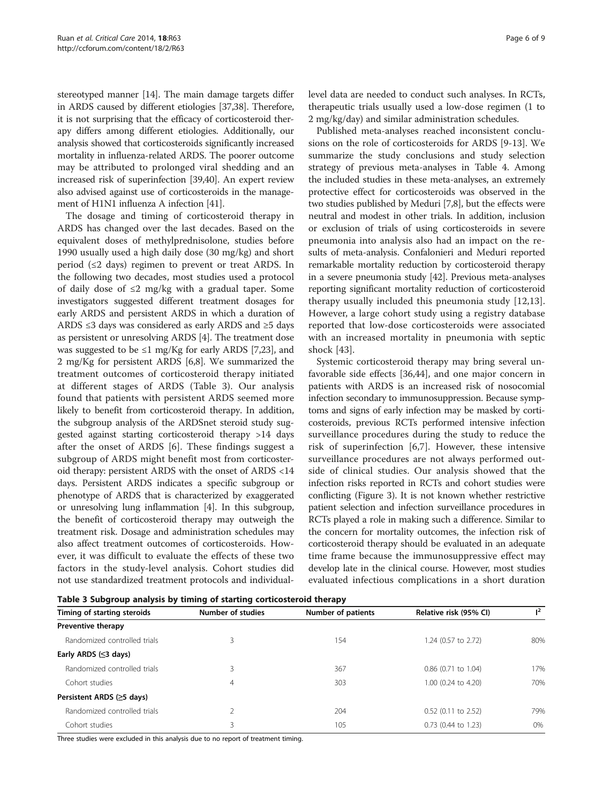stereotyped manner [[14](#page-7-0)]. The main damage targets differ in ARDS caused by different etiologies [\[37,38\]](#page-8-0). Therefore, it is not surprising that the efficacy of corticosteroid therapy differs among different etiologies. Additionally, our analysis showed that corticosteroids significantly increased mortality in influenza-related ARDS. The poorer outcome may be attributed to prolonged viral shedding and an increased risk of superinfection [\[39,40\]](#page-8-0). An expert review also advised against use of corticosteroids in the management of H1N1 influenza A infection [\[41\]](#page-8-0).

The dosage and timing of corticosteroid therapy in ARDS has changed over the last decades. Based on the equivalent doses of methylprednisolone, studies before 1990 usually used a high daily dose (30 mg/kg) and short period (≤2 days) regimen to prevent or treat ARDS. In the following two decades, most studies used a protocol of daily dose of  $\leq$ 2 mg/kg with a gradual taper. Some investigators suggested different treatment dosages for early ARDS and persistent ARDS in which a duration of ARDS ≤3 days was considered as early ARDS and ≥5 days as persistent or unresolving ARDS [\[4](#page-7-0)]. The treatment dose was suggested to be  $\leq 1$  mg/Kg for early ARDS [\[7,23](#page-7-0)], and 2 mg/Kg for persistent ARDS [\[6,8\]](#page-7-0). We summarized the treatment outcomes of corticosteroid therapy initiated at different stages of ARDS (Table 3). Our analysis found that patients with persistent ARDS seemed more likely to benefit from corticosteroid therapy. In addition, the subgroup analysis of the ARDSnet steroid study suggested against starting corticosteroid therapy >14 days after the onset of ARDS [[6\]](#page-7-0). These findings suggest a subgroup of ARDS might benefit most from corticosteroid therapy: persistent ARDS with the onset of ARDS <14 days. Persistent ARDS indicates a specific subgroup or phenotype of ARDS that is characterized by exaggerated or unresolving lung inflammation [\[4](#page-7-0)]. In this subgroup, the benefit of corticosteroid therapy may outweigh the treatment risk. Dosage and administration schedules may also affect treatment outcomes of corticosteroids. However, it was difficult to evaluate the effects of these two factors in the study-level analysis. Cohort studies did not use standardized treatment protocols and individuallevel data are needed to conduct such analyses. In RCTs, therapeutic trials usually used a low-dose regimen (1 to 2 mg/kg/day) and similar administration schedules.

Published meta-analyses reached inconsistent conclusions on the role of corticosteroids for ARDS [[9-13\]](#page-7-0). We summarize the study conclusions and study selection strategy of previous meta-analyses in Table [4](#page-6-0). Among the included studies in these meta-analyses, an extremely protective effect for corticosteroids was observed in the two studies published by Meduri [[7,8\]](#page-7-0), but the effects were neutral and modest in other trials. In addition, inclusion or exclusion of trials of using corticosteroids in severe pneumonia into analysis also had an impact on the results of meta-analysis. Confalonieri and Meduri reported remarkable mortality reduction by corticosteroid therapy in a severe pneumonia study [[42](#page-8-0)]. Previous meta-analyses reporting significant mortality reduction of corticosteroid therapy usually included this pneumonia study [[12,13](#page-7-0)]. However, a large cohort study using a registry database reported that low-dose corticosteroids were associated with an increased mortality in pneumonia with septic shock [[43](#page-8-0)].

Systemic corticosteroid therapy may bring several unfavorable side effects [\[36,44\]](#page-8-0), and one major concern in patients with ARDS is an increased risk of nosocomial infection secondary to immunosuppression. Because symptoms and signs of early infection may be masked by corticosteroids, previous RCTs performed intensive infection surveillance procedures during the study to reduce the risk of superinfection [\[6](#page-7-0),[7\]](#page-7-0). However, these intensive surveillance procedures are not always performed outside of clinical studies. Our analysis showed that the infection risks reported in RCTs and cohort studies were conflicting (Figure [3](#page-4-0)). It is not known whether restrictive patient selection and infection surveillance procedures in RCTs played a role in making such a difference. Similar to the concern for mortality outcomes, the infection risk of corticosteroid therapy should be evaluated in an adequate time frame because the immunosuppressive effect may develop late in the clinical course. However, most studies evaluated infectious complications in a short duration

| Timing of starting steroids  | Number of studies | Number of patients | Relative risk (95% CI) | 12    |  |
|------------------------------|-------------------|--------------------|------------------------|-------|--|
| Preventive therapy           |                   |                    |                        |       |  |
| Randomized controlled trials |                   | 154                | 1.24 (0.57 to 2.72)    | 80%   |  |
| Early ARDS $(\leq 3$ days)   |                   |                    |                        |       |  |
| Randomized controlled trials | 3                 | 367                | $0.86$ (0.71 to 1.04)  | 17%   |  |
| Cohort studies               | $\overline{4}$    | 303                | 1.00 (0.24 to 4.20)    | 70%   |  |
| Persistent ARDS (≥5 days)    |                   |                    |                        |       |  |
| Randomized controlled trials |                   | 204                | $0.52$ (0.11 to 2.52)  | 79%   |  |
| Cohort studies               |                   | 105                | 0.73 (0.44 to 1.23)    | $0\%$ |  |

Table 3 Subgroup analysis by timing of starting corticosteroid therapy

Three studies were excluded in this analysis due to no report of treatment timing.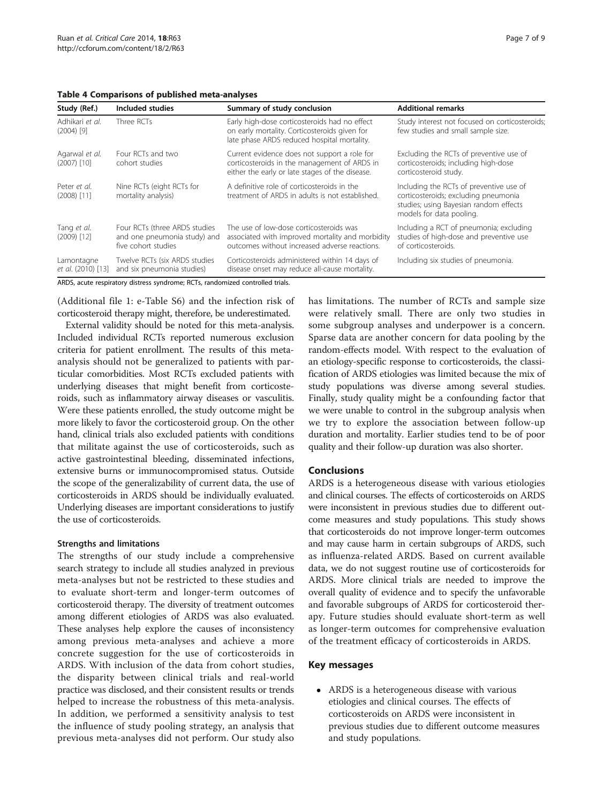<span id="page-6-0"></span>Table 4 Comparisons of published meta-analyses

| Study (Ref.)                     | Included studies                                                                     | Summary of study conclusion                                                                                                                     | <b>Additional remarks</b>                                                                                                                             |
|----------------------------------|--------------------------------------------------------------------------------------|-------------------------------------------------------------------------------------------------------------------------------------------------|-------------------------------------------------------------------------------------------------------------------------------------------------------|
| Adhikari et al.<br>$(2004)$ [9]  | Three RCTs                                                                           | Early high-dose corticosteroids had no effect<br>on early mortality. Corticosteroids given for<br>late phase ARDS reduced hospital mortality.   | Study interest not focused on corticosteroids;<br>few studies and small sample size.                                                                  |
| Agarwal et al.<br>$(2007)$ [10]  | Four RCTs and two<br>cohort studies                                                  | Current evidence does not support a role for<br>corticosteroids in the management of ARDS in<br>either the early or late stages of the disease. | Excluding the RCTs of preventive use of<br>corticosteroids; including high-dose<br>corticosteroid study.                                              |
| Peter et al.<br>$(2008)$ [11]    | Nine RCTs (eight RCTs for<br>mortality analysis)                                     | A definitive role of corticosteroids in the<br>treatment of ARDS in adults is not established.                                                  | Including the RCTs of preventive use of<br>corticosteroids; excluding pneumonia<br>studies; using Bayesian random effects<br>models for data pooling. |
| Tang et al.<br>$(2009)$ [12]     | Four RCTs (three ARDS studies<br>and one pneumonia study) and<br>five cohort studies | The use of low-dose corticosteroids was<br>associated with improved mortality and morbidity<br>outcomes without increased adverse reactions.    | Including a RCT of pneumonia; excluding<br>studies of high-dose and preventive use<br>of corticosteroids.                                             |
| Lamontagne<br>et al. (2010) [13] | Twelve RCTs (six ARDS studies<br>and six pneumonia studies)                          | Corticosteroids administered within 14 days of<br>disease onset may reduce all-cause mortality.                                                 | Including six studies of pneumonia.                                                                                                                   |

ARDS, acute respiratory distress syndrome; RCTs, randomized controlled trials.

(Additional file [1](#page-7-0): e-Table S6) and the infection risk of corticosteroid therapy might, therefore, be underestimated.

External validity should be noted for this meta-analysis. Included individual RCTs reported numerous exclusion criteria for patient enrollment. The results of this metaanalysis should not be generalized to patients with particular comorbidities. Most RCTs excluded patients with underlying diseases that might benefit from corticosteroids, such as inflammatory airway diseases or vasculitis. Were these patients enrolled, the study outcome might be more likely to favor the corticosteroid group. On the other hand, clinical trials also excluded patients with conditions that militate against the use of corticosteroids, such as active gastrointestinal bleeding, disseminated infections, extensive burns or immunocompromised status. Outside the scope of the generalizability of current data, the use of corticosteroids in ARDS should be individually evaluated. Underlying diseases are important considerations to justify the use of corticosteroids.

# Strengths and limitations

The strengths of our study include a comprehensive search strategy to include all studies analyzed in previous meta-analyses but not be restricted to these studies and to evaluate short-term and longer-term outcomes of corticosteroid therapy. The diversity of treatment outcomes among different etiologies of ARDS was also evaluated. These analyses help explore the causes of inconsistency among previous meta-analyses and achieve a more concrete suggestion for the use of corticosteroids in ARDS. With inclusion of the data from cohort studies, the disparity between clinical trials and real-world practice was disclosed, and their consistent results or trends helped to increase the robustness of this meta-analysis. In addition, we performed a sensitivity analysis to test the influence of study pooling strategy, an analysis that previous meta-analyses did not perform. Our study also

has limitations. The number of RCTs and sample size were relatively small. There are only two studies in some subgroup analyses and underpower is a concern. Sparse data are another concern for data pooling by the random-effects model. With respect to the evaluation of an etiology-specific response to corticosteroids, the classification of ARDS etiologies was limited because the mix of study populations was diverse among several studies. Finally, study quality might be a confounding factor that we were unable to control in the subgroup analysis when we try to explore the association between follow-up duration and mortality. Earlier studies tend to be of poor quality and their follow-up duration was also shorter.

# Conclusions

ARDS is a heterogeneous disease with various etiologies and clinical courses. The effects of corticosteroids on ARDS were inconsistent in previous studies due to different outcome measures and study populations. This study shows that corticosteroids do not improve longer-term outcomes and may cause harm in certain subgroups of ARDS, such as influenza-related ARDS. Based on current available data, we do not suggest routine use of corticosteroids for ARDS. More clinical trials are needed to improve the overall quality of evidence and to specify the unfavorable and favorable subgroups of ARDS for corticosteroid therapy. Future studies should evaluate short-term as well as longer-term outcomes for comprehensive evaluation of the treatment efficacy of corticosteroids in ARDS.

# Key messages

 ARDS is a heterogeneous disease with various etiologies and clinical courses. The effects of corticosteroids on ARDS were inconsistent in previous studies due to different outcome measures and study populations.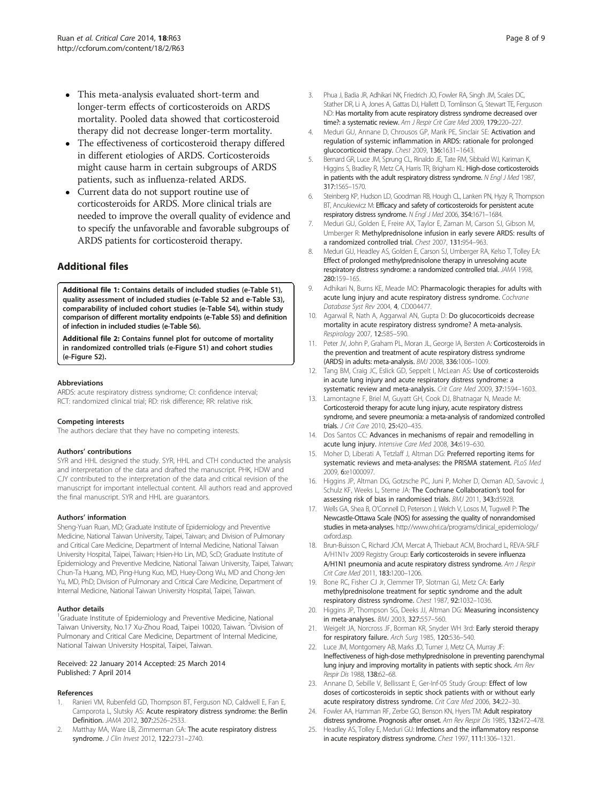- <span id="page-7-0"></span> This meta-analysis evaluated short-term and longer-term effects of corticosteroids on ARDS mortality. Pooled data showed that corticosteroid therapy did not decrease longer-term mortality.
- The effectiveness of corticosteroid therapy differed in different etiologies of ARDS. Corticosteroids might cause harm in certain subgroups of ARDS patients, such as influenza-related ARDS.
- Current data do not support routine use of corticosteroids for ARDS. More clinical trials are needed to improve the overall quality of evidence and to specify the unfavorable and favorable subgroups of ARDS patients for corticosteroid therapy.

# Additional files

[Additional file 1:](http://www.biomedcentral.com/content/supplementary/cc13819-S1.pdf) Contains details of included studies (e-Table S1), quality assessment of included studies (e-Table S2 and e-Table S3), comparability of included cohort studies (e-Table S4), within study comparison of different mortality endpoints (e-Table S5) and definition of infection in included studies (e-Table S6).

[Additional file 2:](http://www.biomedcentral.com/content/supplementary/cc13819-S2.pdf) Contains funnel plot for outcome of mortality in randomized controlled trials (e-Figure S1) and cohort studies (e-Figure S2).

#### Abbreviations

ARDS: acute respiratory distress syndrome; CI: confidence interval; RCT: randomized clinical trial; RD: risk difference; RR: relative risk.

#### Competing interests

The authors declare that they have no competing interests.

#### Authors' contributions

SYR and HHL designed the study. SYR, HHL and CTH conducted the analysis and interpretation of the data and drafted the manuscript. PHK, HDW and CJY contributed to the interpretation of the data and critical revision of the manuscript for important intellectual content. All authors read and approved the final manuscript. SYR and HHL are guarantors.

#### Authors' information

Sheng-Yuan Ruan, MD; Graduate Institute of Epidemiology and Preventive Medicine, National Taiwan University, Taipei, Taiwan; and Division of Pulmonary and Critical Care Medicine, Department of Internal Medicine, National Taiwan University Hospital, Taipei, Taiwan; Hsien-Ho Lin, MD, ScD; Graduate Institute of Epidemiology and Preventive Medicine, National Taiwan University, Taipei, Taiwan; Chun-Ta Huang, MD, Ping-Hung Kuo, MD, Huey-Dong Wu, MD and Chong-Jen Yu, MD, PhD; Division of Pulmonary and Critical Care Medicine, Department of Internal Medicine, National Taiwan University Hospital, Taipei, Taiwan.

#### Author details

<sup>1</sup>Graduate Institute of Epidemiology and Preventive Medicine, National Taiwan University, No.17 Xu-Zhou Road, Taipei 10020, Taiwan. <sup>2</sup>Division of Pulmonary and Critical Care Medicine, Department of Internal Medicine, National Taiwan University Hospital, Taipei, Taiwan.

#### Received: 22 January 2014 Accepted: 25 March 2014 Published: 7 April 2014

#### References

- Ranieri VM, Rubenfeld GD, Thompson BT, Ferguson ND, Caldwell E, Fan E, Camporota L, Slutsky AS: Acute respiratory distress syndrome: the Berlin Definition. JAMA 2012, 307:2526–2533.
- 2. Matthay MA, Ware LB, Zimmerman GA: The acute respiratory distress syndrome. J Clin Invest 2012, 122:2731-2740.
- 3. Phua J, Badia JR, Adhikari NK, Friedrich JO, Fowler RA, Singh JM, Scales DC, Stather DR, Li A, Jones A, Gattas DJ, Hallett D, Tomlinson G, Stewart TE, Ferguson ND: Has mortality from acute respiratory distress syndrome decreased over time?: a systematic review. Am J Respir Crit Care Med 2009, 179:220-227.
- 4. Meduri GU, Annane D, Chrousos GP, Marik PE, Sinclair SE: Activation and regulation of systemic inflammation in ARDS: rationale for prolonged glucocorticoid therapy. Chest 2009, 136:1631–1643.
- 5. Bernard GR, Luce JM, Sprung CL, Rinaldo JE, Tate RM, Sibbald WJ, Kariman K, Higgins S, Bradley R, Metz CA, Harris TR, Brigham KL: High-dose corticosteroids in patients with the adult respiratory distress syndrome. N Engl J Med 1987, 317:1565–1570.
- 6. Steinberg KP, Hudson LD, Goodman RB, Hough CL, Lanken PN, Hyzy R, Thompson BT, Ancukiewicz M: Efficacy and safety of corticosteroids for persistent acute respiratory distress syndrome. N Engl J Med 2006, 354:1671–1684.
- 7. Meduri GU, Golden E, Freire AX, Taylor E, Zaman M, Carson SJ, Gibson M, Umberger R: Methylprednisolone infusion in early severe ARDS: results of a randomized controlled trial. Chest 2007, 131:954–963.
- Meduri GU, Headley AS, Golden E, Carson SJ, Umberger RA, Kelso T, Tolley EA: Effect of prolonged methylprednisolone therapy in unresolving acute respiratory distress syndrome: a randomized controlled trial. JAMA 1998, 280:159–165.
- 9. Adhikari N, Burns KE, Meade MO: Pharmacologic therapies for adults with acute lung injury and acute respiratory distress syndrome. Cochrane Database Syst Rev 2004, 4, CD004477.
- 10. Agarwal R, Nath A, Aggarwal AN, Gupta D: Do glucocorticoids decrease mortality in acute respiratory distress syndrome? A meta-analysis. Respirology 2007, 12:585–590.
- 11. Peter JV, John P, Graham PL, Moran JL, George IA, Bersten A: Corticosteroids in the prevention and treatment of acute respiratory distress syndrome (ARDS) in adults: meta-analysis. BMJ 2008, 336:1006–1009.
- 12. Tang BM, Craig JC, Eslick GD, Seppelt I, McLean AS: Use of corticosteroids in acute lung injury and acute respiratory distress syndrome: a systematic review and meta-analysis. Crit Care Med 2009, 37:1594–1603.
- 13. Lamontagne F, Briel M, Guyatt GH, Cook DJ, Bhatnagar N, Meade M: Corticosteroid therapy for acute lung injury, acute respiratory distress syndrome, and severe pneumonia: a meta-analysis of randomized controlled trials. J Crit Care 2010, 25:420–435.
- 14. Dos Santos CC: Advances in mechanisms of repair and remodelling in acute lung injury. Intensive Care Med 2008, 34:619–630.
- 15. Moher D, Liberati A, Tetzlaff J, Altman DG: Preferred reporting items for systematic reviews and meta-analyses: the PRISMA statement. PLoS Med 2009, 6:e1000097.
- 16. Higgins JP, Altman DG, Gotzsche PC, Juni P, Moher D, Oxman AD, Savovic J, Schulz KF, Weeks L, Sterne JA: The Cochrane Collaboration's tool for assessing risk of bias in randomised trials. BMJ 2011, 343:d5928.
- 17. Wells GA, Shea B, O'Connell D, Peterson J, Welch V, Losos M, Tugwell P: The Newcastle-Ottawa Scale (NOS) for assessing the quality of nonrandomised studies in meta-analyses. [http://www.ohri.ca/programs/clinical\\_epidemiology/](http://www.ohri.ca/programs/clinical_epidemiology/oxford.asp) [oxford.asp](http://www.ohri.ca/programs/clinical_epidemiology/oxford.asp).
- 18. Brun-Buisson C, Richard JCM, Mercat A, Thiebaut ACM, Brochard L, REVA-SRLF A/H1N1v 2009 Registry Group: Early corticosteroids in severe influenza A/H1N1 pneumonia and acute respiratory distress syndrome. Am J Respir Crit Care Med 2011, 183:1200–1206.
- 19. Bone RC, Fisher CJ Jr, Clemmer TP, Slotman GJ, Metz CA: Early methylprednisolone treatment for septic syndrome and the adult respiratory distress syndrome. Chest 1987, 92:1032–1036.
- 20. Higgins JP, Thompson SG, Deeks JJ, Altman DG: Measuring inconsistency in meta-analyses. BMJ 2003, 327:557–560.
- 21. Weigelt JA, Norcross JF, Borman KR, Snyder WH 3rd: Early steroid therapy for respiratory failure. Arch Surg 1985, 120:536–540.
- 22. Luce JM, Montgomery AB, Marks JD, Turner J, Metz CA, Murray JF: Ineffectiveness of high-dose methylprednisolone in preventing parenchymal lung injury and improving mortality in patients with septic shock. Am Rev Respir Dis 1988, 138:62–68.
- 23. Annane D, Sebille V, Bellissant E, Ger-Inf-05 Study Group: Effect of low doses of corticosteroids in septic shock patients with or without early acute respiratory distress syndrome. Crit Care Med 2006, 34:22–30.
- 24. Fowler AA, Hamman RF, Zerbe GO, Benson KN, Hyers TM: Adult respiratory distress syndrome. Prognosis after onset. Am Rev Respir Dis 1985, 132:472–478.
- 25. Headley AS, Tolley E, Meduri GU: Infections and the inflammatory response in acute respiratory distress syndrome. Chest 1997, 111:1306–1321.